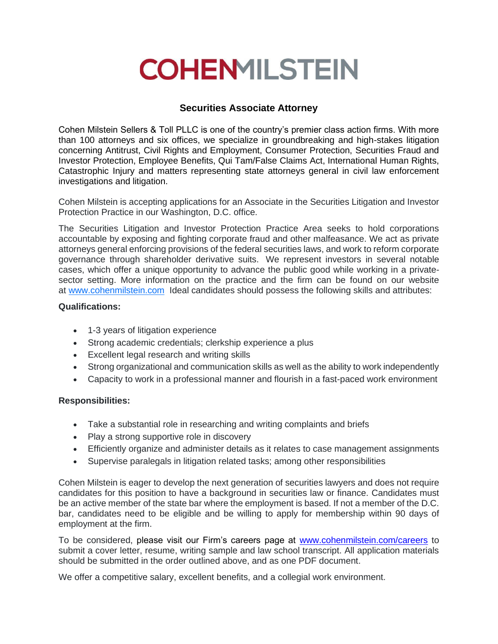## **COHENMILSTEIN**

## **Securities Associate Attorney**

Cohen Milstein Sellers & Toll PLLC is one of the country's premier class action firms. With more than 100 attorneys and six offices, we specialize in groundbreaking and high-stakes litigation concerning Antitrust, Civil Rights and Employment, Consumer Protection, Securities Fraud and Investor Protection, Employee Benefits, Qui Tam/False Claims Act, International Human Rights, Catastrophic Injury and matters representing state attorneys general in civil law enforcement investigations and litigation.

Cohen Milstein is accepting applications for an Associate in the Securities Litigation and Investor Protection Practice in our Washington, D.C. office.

The Securities Litigation and Investor Protection Practice Area seeks to hold corporations accountable by exposing and fighting corporate fraud and other malfeasance. We act as private attorneys general enforcing provisions of the federal securities laws, and work to reform corporate governance through shareholder derivative suits. We represent investors in several notable cases, which offer a unique opportunity to advance the public good while working in a privatesector setting. More information on the practice and the firm can be found on our website at [www.cohenmilstein.com](http://www.cohenmilstein.com/) Ideal candidates should possess the following skills and attributes:

## **Qualifications:**

- 1-3 years of litigation experience
- Strong academic credentials; clerkship experience a plus
- Excellent legal research and writing skills
- Strong organizational and communication skills as well as the ability to work independently
- Capacity to work in a professional manner and flourish in a fast-paced work environment

## **Responsibilities:**

- Take a substantial role in researching and writing complaints and briefs
- Play a strong supportive role in discovery
- Efficiently organize and administer details as it relates to case management assignments
- Supervise paralegals in litigation related tasks; among other responsibilities

Cohen Milstein is eager to develop the next generation of securities lawyers and does not require candidates for this position to have a background in securities law or finance. Candidates must be an active member of the state bar where the employment is based. If not a member of the D.C. bar, candidates need to be eligible and be willing to apply for membership within 90 days of employment at the firm.

To be considered, please visit our Firm's careers page at [www.cohenmilstein.com/careers](http://www.cohenmilstein.com/careers) to submit a cover letter, resume, writing sample and law school transcript. All application materials should be submitted in the order outlined above, and as one PDF document.

We offer a competitive salary, excellent benefits, and a collegial work environment.